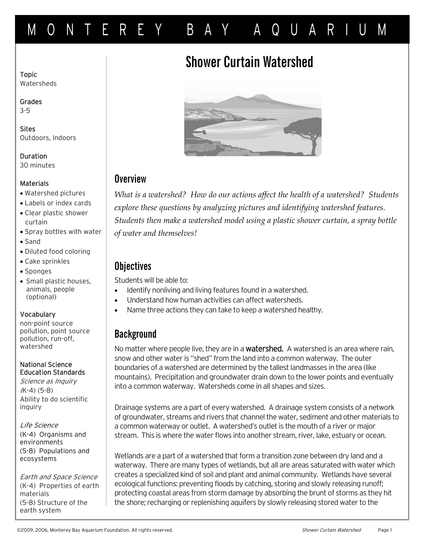# MONTEREY BAY AQUARIUM

# Shower Curtain Watershed

Topic Watersheds

Grades 3-5

**Sites** Outdoors, Indoors

Duration 30 minutes

#### **Materials**

- Watershed pictures
- Labels or index cards
- Clear plastic shower curtain
- Spray bottles with water
- Sand
- Diluted food coloring
- Cake sprinkles
- Sponges
- Small plastic houses, animals, people (optional)

#### Vocabulary

non-point source pollution, point source pollution, run-off, watershed

#### National Science Education Standards

Science as Inquiry (K-4) (5-8) Ability to do scientific inquiry

Life Science (K-4) Organisms and environments (5-8) Populations and ecosystems

Earth and Space Science (K-4) Properties of earth materials (5-8) Structure of the earth system



## **Overview**

*What is a watershed? How do our actions affect the health of a watershed? Students explore these questions by analyzing pictures and identifying watershed features. Students then make a watershed model using a plastic shower curtain, a spray bottle of water and themselves!* 

## **Objectives**

Students will be able to:

- Identify nonliving and living features found in a watershed.
- Understand how human activities can affect watersheds.
- Name three actions they can take to keep a watershed healthy.

# **Background**

No matter where people live, they are in a **watershed.** A watershed is an area where rain, snow and other water is "shed" from the land into a common waterway. The outer boundaries of a watershed are determined by the tallest landmasses in the area (like mountains). Precipitation and groundwater drain down to the lower points and eventually into a common waterway. Watersheds come in all shapes and sizes.

Drainage systems are a part of every watershed. A drainage system consists of a network of groundwater, streams and rivers that channel the water, sediment and other materials to a common waterway or outlet. A watershed's outlet is the mouth of a river or major stream. This is where the water flows into another stream, river, lake, estuary or ocean.

Wetlands are a part of a watershed that form a transition zone between dry land and a waterway. There are many types of wetlands, but all are areas saturated with water which creates a specialized kind of soil and plant and animal community. Wetlands have several ecological functions: preventing floods by catching, storing and slowly releasing runoff; protecting coastal areas from storm damage by absorbing the brunt of storms as they hit the shore; recharging or replenishing aquifers by slowly releasing stored water to the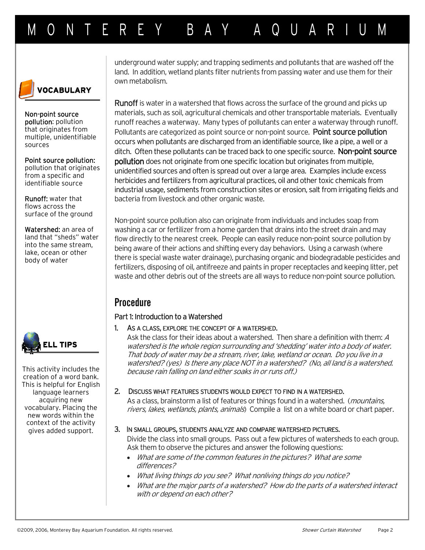

Non-point source pollution: pollution that originates from multiple, unidentifiable sources

Point source pollution: pollution that originates from a specific and identifiable source

Runoff: water that flows across the surface of the ground

Watershed: an area of land that "sheds" water into the same stream, lake, ocean or other body of water



This activity includes the creation of a word bank. This is helpful for English language learners acquiring new vocabulary. Placing the new words within the context of the activity gives added support.

underground water supply; and trapping sediments and pollutants that are washed off the land. In addition, wetland plants filter nutrients from passing water and use them for their own metabolism.

Runoff is water in a watershed that flows across the surface of the ground and picks up materials, such as soil, agricultural chemicals and other transportable materials. Eventually runoff reaches a waterway. Many types of pollutants can enter a waterway through runoff. Pollutants are categorized as point source or non-point source. Point source pollution occurs when pollutants are discharged from an identifiable source, like a pipe, a well or a ditch. Often these pollutants can be traced back to one specific source. **Non-point source** pollution does not originate from one specific location but originates from multiple, unidentified sources and often is spread out over a large area. Examples include excess herbicides and fertilizers from agricultural practices, oil and other toxic chemicals from industrial usage, sediments from construction sites or erosion, salt from irrigating fields and bacteria from livestock and other organic waste.

Non-point source pollution also can originate from individuals and includes soap from washing a car or fertilizer from a home garden that drains into the street drain and may flow directly to the nearest creek. People can easily reduce non-point source pollution by being aware of their actions and shifting every day behaviors. Using a carwash (where there is special waste water drainage), purchasing organic and biodegradable pesticides and fertilizers, disposing of oil, antifreeze and paints in proper receptacles and keeping litter, pet waste and other debris out of the streets are all ways to reduce non-point source pollution.

# **Procedure**

### Part 1: Introduction to a Watershed

#### 1. AS A CLASS, EXPLORE THE CONCEPT OF A WATERSHED.

Ask the class for their ideas about a watershed. Then share a definition with them: <sup>A</sup> watershed is the whole region surrounding and 'shedding' water into a body of water. That body of water may be a stream, river, lake, wetland or ocean. Do you live in a watershed? (yes) Is there any place NOT in a watershed? (No, all land is a watershed. because rain falling on land either soaks in or runs off.)

#### 2. DISCUSS WHAT FEATURES STUDENTS WOULD EXPECT TO FIND IN A WATERSHED.

As a class, brainstorm a list of features or things found in a watershed. (*mountains*, rivers, lakes, wetlands, plants, animals) Compile a list on a white board or chart paper.

#### 3. IN SMALL GROUPS, STUDENTS ANALYZE AND COMPARE WATERSHED PICTURES.

Divide the class into small groups. Pass out a few pictures of watersheds to each group. Ask them to observe the pictures and answer the following questions:

- What are some of the common features in the pictures? What are some differences?
- What living things do you see? What nonliving things do you notice?
- What are the major parts of a watershed? How do the parts of a watershed interact with or depend on each other?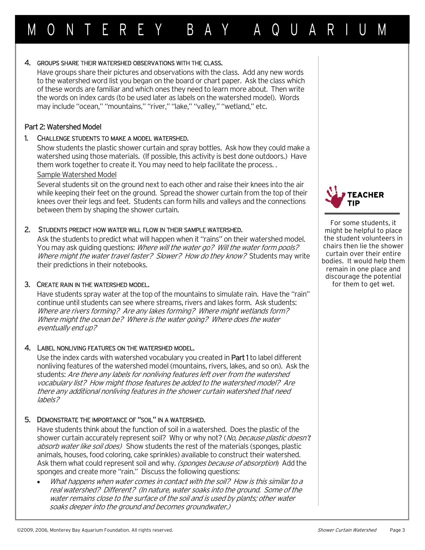### 4. GROUPS SHARE THEIR WATERSHED OBSERVATIONS WITH THE CLASS.

Have groups share their pictures and observations with the class. Add any new words to the watershed word list you began on the board or chart paper. Ask the class which of these words are familiar and which ones they need to learn more about. Then write the words on index cards (to be used later as labels on the watershed model). Words may include "ocean," "mountains," "river," "lake," "valley," "wetland," etc.

MONTEREY BAY AQUARIUM

### Part 2: Watershed Model

### 1. CHALLENGE STUDENTS TO MAKE A MODEL WATERSHED.

Show students the plastic shower curtain and spray bottles. Ask how they could make a watershed using those materials. (If possible, this activity is best done outdoors.) Have them work together to create it. You may need to help facilitate the process. .

### Sample Watershed Model

Several students sit on the ground next to each other and raise their knees into the air while keeping their feet on the ground. Spread the shower curtain from the top of their knees over their legs and feet. Students can form hills and valleys and the connections between them by shaping the shower curtain.

### 2. STUDENTS PREDICT HOW WATER WILL FLOW IN THEIR SAMPLE WATERSHED.

Ask the students to predict what will happen when it "rains" on their watershed model. You may ask guiding questions: Where will the water go? Will the water form pools? Where might the water travel faster? Slower? How do they know? Students may write their predictions in their notebooks.

## 3. CREATE RAIN IN THE WATERSHED MODEL.

Have students spray water at the top of the mountains to simulate rain. Have the "rain" continue until students can see where streams, rivers and lakes form. Ask students: Where are rivers forming? Are any lakes forming? Where might wetlands form? Where might the ocean be? Where is the water going? Where does the water eventually end up?

## 4. LABEL NONLIVING FEATURES ON THE WATERSHED MODEL.

Use the index cards with watershed vocabulary you created in **Part 1** to label different nonliving features of the watershed model (mountains, rivers, lakes, and so on). Ask the students: Are there any labels for nonliving features left over from the watershed vocabulary list? How might those features be added to the watershed model? Are there any additional nonliving features in the shower curtain watershed that need labels?

## 5. DEMONSTRATE THE IMPORTANCE OF "SOIL" IN A WATERSHED.

Have students think about the function of soil in a watershed. Does the plastic of the shower curtain accurately represent soil? Why or why not? (No, because plastic doesn't absorb water like soil does) Show students the rest of the materials (sponges, plastic animals, houses, food coloring, cake sprinkles) available to construct their watershed. Ask them what could represent soil and why. (sponges because of absorption) Add the sponges and create more "rain." Discuss the following questions:

• What happens when water comes in contact with the soil? How is this similar to a real watershed? Different? (In nature, water soaks into the ground. Some of the water remains close to the surface of the soil and is used by plants; other water soaks deeper into the ground and becomes groundwater.)



For some students, it might be helpful to place the student volunteers in chairs then lie the shower curtain over their entire bodies. It would help them remain in one place and discourage the potential for them to get wet.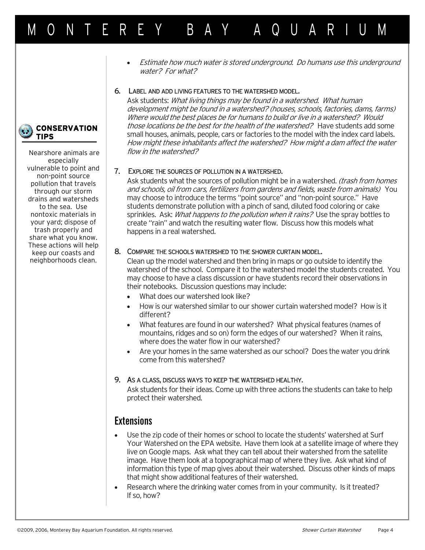# MONTEREY BAY AQUARIUM

**CONSERVATION TIPS**

> Nearshore animals are especially vulnerable to point and non-point source pollution that travels through our storm drains and watersheds to the sea. Use nontoxic materials in your yard; dispose of trash properly and share what you know. These actions will help keep our coasts and neighborhoods clean.

• Estimate how much water is stored underground. Do humans use this underground water? For what?

#### 6. LABEL AND ADD LIVING FEATURES TO THE WATERSHED MODEL.

Ask students: What living things may be found in a watershed. What human development might be found in a watershed? (houses, schools, factories, dams, farms) Where would the best places be for humans to build or live in a watershed? Would those locations be the best for the health of the watershed? Have students add some small houses, animals, people, cars or factories to the model with the index card labels. How might these inhabitants affect the watershed? How might a dam affect the water flow in the watershed?

#### 7. EXPLORE THE SOURCES OF POLLUTION IN A WATERSHED.

Ask students what the sources of pollution might be in a watershed. (trash from homes and schools, oil from cars, fertilizers from gardens and fields, waste from animals) You may choose to introduce the terms "point source" and "non-point source." Have students demonstrate pollution with a pinch of sand, diluted food coloring or cake sprinkles. Ask: What happens to the pollution when it rains? Use the spray bottles to create "rain" and watch the resulting water flow. Discuss how this models what happens in a real watershed.

#### 8. COMPARE THE SCHOOLS WATERSHED TO THE SHOWER CURTAIN MODEL.

Clean up the model watershed and then bring in maps or go outside to identify the watershed of the school. Compare it to the watershed model the students created. You may choose to have a class discussion or have students record their observations in their notebooks. Discussion questions may include:

- What does our watershed look like?
- How is our watershed similar to our shower curtain watershed model? How is it different?
- What features are found in our watershed? What physical features (names of mountains, ridges and so on) form the edges of our watershed? When it rains, where does the water flow in our watershed?
- Are your homes in the same watershed as our school? Does the water you drink come from this watershed?

#### 9. AS A CLASS, DISCUSS WAYS TO KEEP THE WATERSHED HEALTHY.

Ask students for their ideas. Come up with three actions the students can take to help protect their watershed.

## **Extensions**

- Use the zip code of their homes or school to locate the students' watershed at Surf Your Watershed on the EPA website. Have them look at a satellite image of where they live on Google maps. Ask what they can tell about their watershed from the satellite image. Have them look at a topographical map of where they live. Ask what kind of information this type of map gives about their watershed. Discuss other kinds of maps that might show additional features of their watershed.
- Research where the drinking water comes from in your community. Is it treated? If so, how?